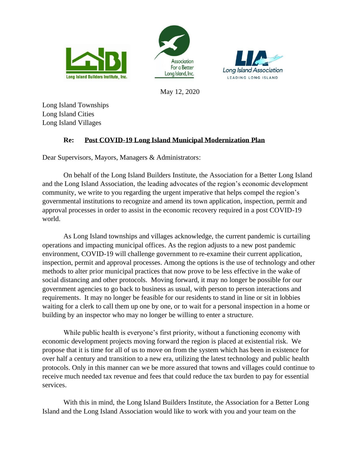





May 12, 2020

Long Island Townships Long Island Cities Long Island Villages

## **Re: Post COVID-19 Long Island Municipal Modernization Plan**

Dear Supervisors, Mayors, Managers & Administrators:

On behalf of the Long Island Builders Institute, the Association for a Better Long Island and the Long Island Association, the leading advocates of the region's economic development community, we write to you regarding the urgent imperative that helps compel the region's governmental institutions to recognize and amend its town application, inspection, permit and approval processes in order to assist in the economic recovery required in a post COVID-19 world.

As Long Island townships and villages acknowledge, the current pandemic is curtailing operations and impacting municipal offices. As the region adjusts to a new post pandemic environment, COVID-19 will challenge government to re-examine their current application, inspection, permit and approval processes. Among the options is the use of technology and other methods to alter prior municipal practices that now prove to be less effective in the wake of social distancing and other protocols. Moving forward, it may no longer be possible for our government agencies to go back to business as usual, with person to person interactions and requirements. It may no longer be feasible for our residents to stand in line or sit in lobbies waiting for a clerk to call them up one by one, or to wait for a personal inspection in a home or building by an inspector who may no longer be willing to enter a structure.

While public health is everyone's first priority, without a functioning economy with economic development projects moving forward the region is placed at existential risk. We propose that it is time for all of us to move on from the system which has been in existence for over half a century and transition to a new era, utilizing the latest technology and public health protocols. Only in this manner can we be more assured that towns and villages could continue to receive much needed tax revenue and fees that could reduce the tax burden to pay for essential services.

With this in mind, the Long Island Builders Institute, the Association for a Better Long Island and the Long Island Association would like to work with you and your team on the